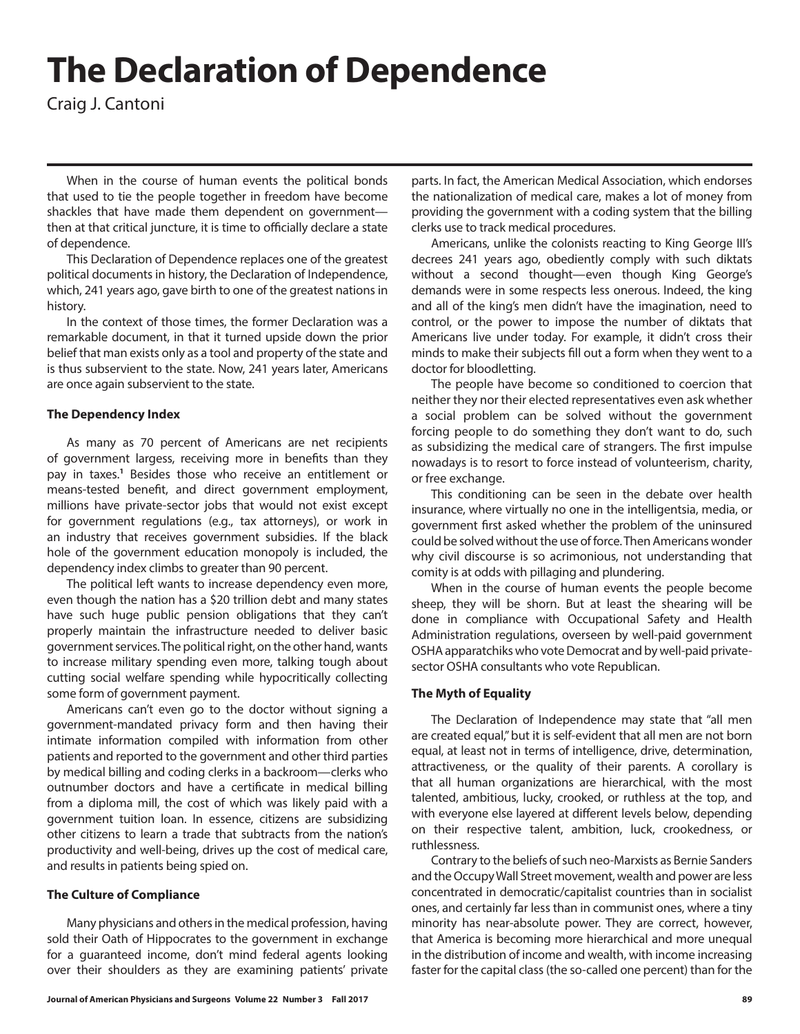# **The Declaration of Dependence**

Craig J. Cantoni

When in the course of human events the political bonds that used to tie the people together in freedom have become shackles that have made them dependent on government then at that critical juncture, it is time to officially declare a state of dependence.

This Declaration of Dependence replaces one of the greatest political documents in history, the Declaration of Independence, which, 241 years ago, gave birth to one of the greatest nations in history.

In the context of those times, the former Declaration was a remarkable document, in that it turned upside down the prior belief that man exists only as a tool and property of the state and is thus subservient to the state. Now, 241 years later, Americans are once again subservient to the state.

#### **The Dependency Index**

As many as 70 percent of Americans are net recipients of government largess, receiving more in benefits than they pay in taxes.<sup>1</sup> Besides those who receive an entitlement or means-tested benefit, and direct government employment, millions have private-sector jobs that would not exist except for government regulations (e.g., tax attorneys), or work in an industry that receives government subsidies. If the black hole of the government education monopoly is included, the dependency index climbs to greater than 90 percent.

The political left wants to increase dependency even more, even though the nation has a \$20 trillion debt and many states have such huge public pension obligations that they can't properly maintain the infrastructure needed to deliver basic government services. The political right, on the other hand, wants to increase military spending even more, talking tough about cutting social welfare spending while hypocritically collecting some form of government payment.

Americans can't even go to the doctor without signing a government-mandated privacy form and then having their intimate information compiled with information from other patients and reported to the government and other third parties by medical billing and coding clerks in a backroom—clerks who outnumber doctors and have a certificate in medical billing from a diploma mill, the cost of which was likely paid with a government tuition loan. In essence, citizens are subsidizing other citizens to learn a trade that subtracts from the nation's productivity and well-being, drives up the cost of medical care, and results in patients being spied on.

#### **The Culture of Compliance**

Many physicians and others in the medical profession, having sold their Oath of Hippocrates to the government in exchange for a guaranteed income, don't mind federal agents looking over their shoulders as they are examining patients' private

**Journal of American Physicians and Surgeons Volume 22 Number 3 Fall 2017 89**

parts. In fact, the American Medical Association, which endorses the nationalization of medical care, makes a lot of money from providing the government with a coding system that the billing clerks use to track medical procedures.

Americans, unlike the colonists reacting to King George III's decrees 241 years ago, obediently comply with such diktats without a second thought—even though King George's demands were in some respects less onerous. Indeed, the king and all of the king's men didn't have the imagination, need to control, or the power to impose the number of diktats that Americans live under today. For example, it didn't cross their minds to make their subjects fill out a form when they went to a doctor for bloodletting.

The people have become so conditioned to coercion that neither they nor their elected representatives even ask whether a social problem can be solved without the government forcing people to do something they don't want to do, such as subsidizing the medical care of strangers. The first impulse nowadays is to resort to force instead of volunteerism, charity, or free exchange.

This conditioning can be seen in the debate over health insurance, where virtually no one in the intelligentsia, media, or government first asked whether the problem of the uninsured could be solved without the use of force. Then Americans wonder why civil discourse is so acrimonious, not understanding that comity is at odds with pillaging and plundering.

When in the course of human events the people become sheep, they will be shorn. But at least the shearing will be done in compliance with Occupational Safety and Health Administration regulations, overseen by well-paid government OSHA apparatchiks who vote Democrat and by well-paid privatesector OSHA consultants who vote Republican.

#### **The Myth of Equality**

The Declaration of Independence may state that "all men are created equal," but it is self-evident that all men are not born equal, at least not in terms of intelligence, drive, determination, attractiveness, or the quality of their parents. A corollary is that all human organizations are hierarchical, with the most talented, ambitious, lucky, crooked, or ruthless at the top, and with everyone else layered at different levels below, depending on their respective talent, ambition, luck, crookedness, or ruthlessness.

Contrary to the beliefs of such neo-Marxists as Bernie Sanders and the Occupy Wall Street movement, wealth and power are less concentrated in democratic/capitalist countries than in socialist ones, and certainly far less than in communist ones, where a tiny minority has near-absolute power. They are correct, however, that America is becoming more hierarchical and more unequal in the distribution of income and wealth, with income increasing faster for the capital class (the so-called one percent) than for the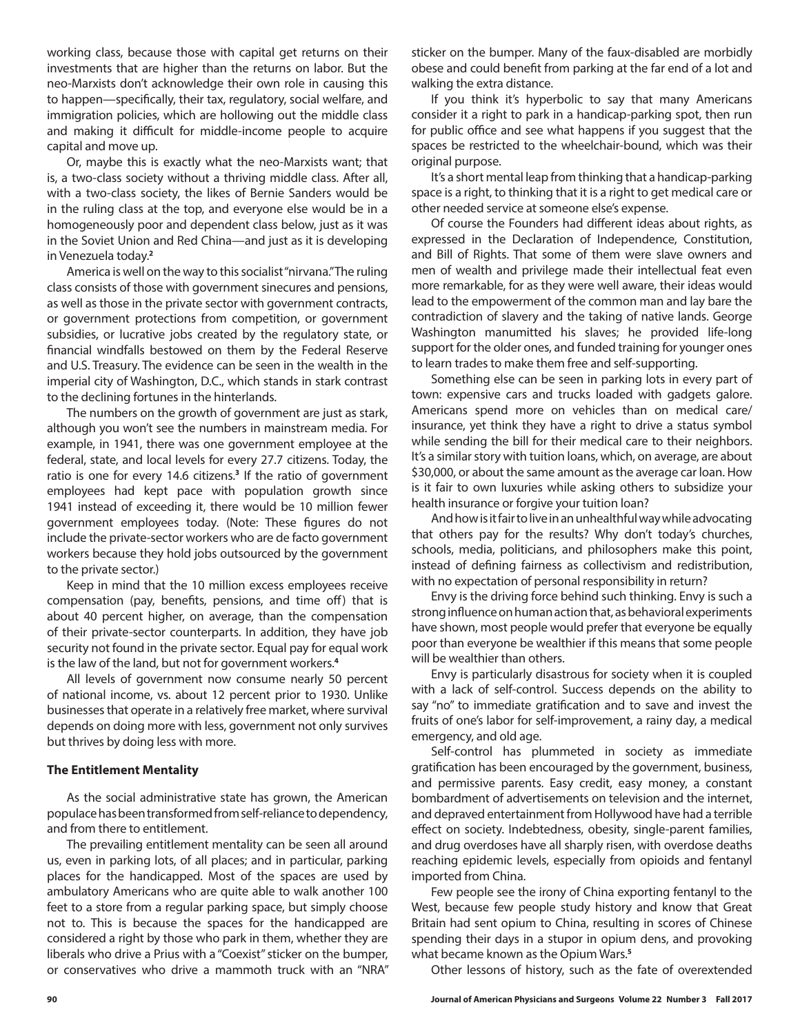working class, because those with capital get returns on their investments that are higher than the returns on labor. But the neo-Marxists don't acknowledge their own role in causing this to happen—specifically, their tax, regulatory, social welfare, and immigration policies, which are hollowing out the middle class and making it difficult for middle-income people to acquire capital and move up.

Or, maybe this is exactly what the neo-Marxists want; that is, a two-class society without a thriving middle class. After all, with a two-class society, the likes of Bernie Sanders would be in the ruling class at the top, and everyone else would be in a homogeneously poor and dependent class below, just as it was in the Soviet Union and Red China—and just as it is developing in Venezuela today.**<sup>2</sup>**

America is well on the way to this socialist "nirvana." The ruling class consists of those with government sinecures and pensions, as well as those in the private sector with government contracts, or government protections from competition, or government subsidies, or lucrative jobs created by the regulatory state, or financial windfalls bestowed on them by the Federal Reserve and U.S. Treasury. The evidence can be seen in the wealth in the imperial city of Washington, D.C., which stands in stark contrast to the declining fortunes in the hinterlands.

The numbers on the growth of government are just as stark, although you won't see the numbers in mainstream media. For example, in 1941, there was one government employee at the federal, state, and local levels for every 27.7 citizens. Today, the ratio is one for every 14.6 citizens.**<sup>3</sup>** If the ratio of government employees had kept pace with population growth since 1941 instead of exceeding it, there would be 10 million fewer government employees today. (Note: These figures do not include the private-sector workers who are de facto government workers because they hold jobs outsourced by the government to the private sector.)

Keep in mind that the 10 million excess employees receive compensation (pay, benefits, pensions, and time off) that is about 40 percent higher, on average, than the compensation of their private-sector counterparts. In addition, they have job security not found in the private sector. Equal pay for equal work is the law of the land, but not for government workers.**<sup>4</sup>**

All levels of government now consume nearly 50 percent of national income, vs. about 12 percent prior to 1930. Unlike businesses that operate in a relatively free market, where survival depends on doing more with less, government not only survives but thrives by doing less with more.

#### **The Entitlement Mentality**

As the social administrative state has grown, the American populace has been transformed from self-reliance to dependency, and from there to entitlement.

The prevailing entitlement mentality can be seen all around us, even in parking lots, of all places; and in particular, parking places for the handicapped. Most of the spaces are used by ambulatory Americans who are quite able to walk another 100 feet to a store from a regular parking space, but simply choose not to. This is because the spaces for the handicapped are considered a right by those who park in them, whether they are liberals who drive a Prius with a "Coexist" sticker on the bumper, or conservatives who drive a mammoth truck with an "NRA" sticker on the bumper. Many of the faux-disabled are morbidly obese and could benefit from parking at the far end of a lot and walking the extra distance.

If you think it's hyperbolic to say that many Americans consider it a right to park in a handicap-parking spot, then run for public office and see what happens if you suggest that the spaces be restricted to the wheelchair-bound, which was their original purpose.

It's a short mental leap from thinking that a handicap-parking space is a right, to thinking that it is a right to get medical care or other needed service at someone else's expense.

Of course the Founders had different ideas about rights, as expressed in the Declaration of Independence, Constitution, and Bill of Rights. That some of them were slave owners and men of wealth and privilege made their intellectual feat even more remarkable, for as they were well aware, their ideas would lead to the empowerment of the common man and lay bare the contradiction of slavery and the taking of native lands. George Washington manumitted his slaves; he provided life-long support for the older ones, and funded training for younger ones to learn trades to make them free and self-supporting.

Something else can be seen in parking lots in every part of town: expensive cars and trucks loaded with gadgets galore. Americans spend more on vehicles than on medical care/ insurance, yet think they have a right to drive a status symbol while sending the bill for their medical care to their neighbors. It's a similar story with tuition loans, which, on average, are about \$30,000, or about the same amount as the average car loan. How is it fair to own luxuries while asking others to subsidize your health insurance or forgive your tuition loan?

And how is it fair to live in an unhealthful way while advocating that others pay for the results? Why don't today's churches, schools, media, politicians, and philosophers make this point, instead of defining fairness as collectivism and redistribution, with no expectation of personal responsibility in return?

Envy is the driving force behind such thinking. Envy is such a strong influence on human action that, as behavioral experiments have shown, most people would prefer that everyone be equally poor than everyone be wealthier if this means that some people will be wealthier than others.

Envy is particularly disastrous for society when it is coupled with a lack of self-control. Success depends on the ability to say "no" to immediate gratification and to save and invest the fruits of one's labor for self-improvement, a rainy day, a medical emergency, and old age.

Self-control has plummeted in society as immediate gratification has been encouraged by the government, business, and permissive parents. Easy credit, easy money, a constant bombardment of advertisements on television and the internet, and depraved entertainment from Hollywood have had a terrible effect on society. Indebtedness, obesity, single-parent families, and drug overdoses have all sharply risen, with overdose deaths reaching epidemic levels, especially from opioids and fentanyl imported from China.

Few people see the irony of China exporting fentanyl to the West, because few people study history and know that Great Britain had sent opium to China, resulting in scores of Chinese spending their days in a stupor in opium dens, and provoking what became known as the Opium Wars.**<sup>5</sup>**

Other lessons of history, such as the fate of overextended